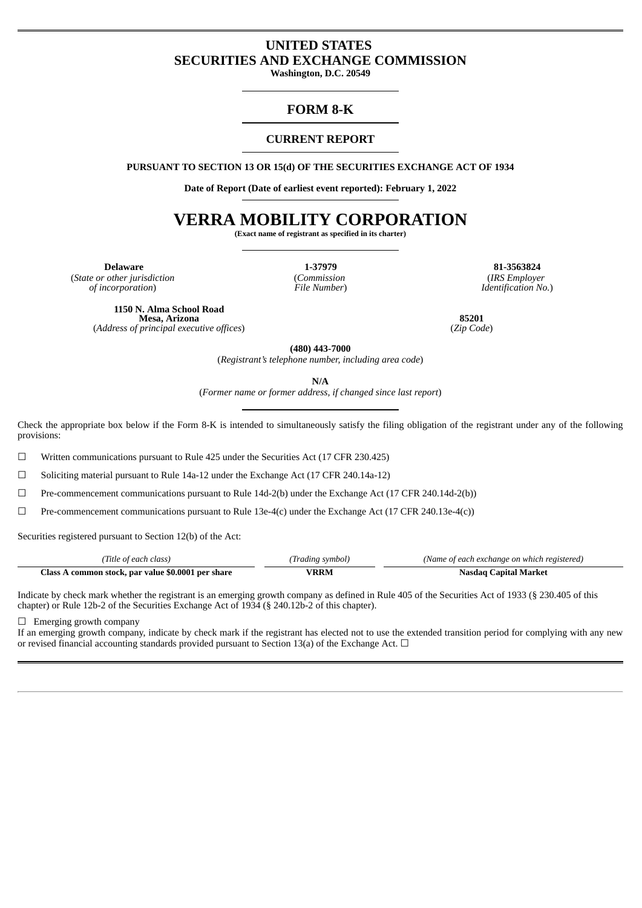## **UNITED STATES SECURITIES AND EXCHANGE COMMISSION**

**Washington, D.C. 20549**

### **FORM 8-K**

### **CURRENT REPORT**

**PURSUANT TO SECTION 13 OR 15(d) OF THE SECURITIES EXCHANGE ACT OF 1934**

**Date of Report (Date of earliest event reported): February 1, 2022**

# **VERRA MOBILITY CORPORATION**

**(Exact name of registrant as specified in its charter)**

(*State or other jurisdiction of incorporation*)

(*Commission File Number*)

**Delaware 1-37979 81-3563824** (*IRS Employer Identification No.*)

**1150 N. Alma School Road Mesa, Arizona** (*Address of principal executive offices*)

**85201** (*Zip Code*)

**(480) 443-7000**

(*Registrant's telephone number, including area code*)

**N/A**

(*Former name or former address, if changed since last report*)

Check the appropriate box below if the Form 8-K is intended to simultaneously satisfy the filing obligation of the registrant under any of the following provisions:

 $\Box$  Written communications pursuant to Rule 425 under the Securities Act (17 CFR 230.425)

☐ Soliciting material pursuant to Rule 14a-12 under the Exchange Act (17 CFR 240.14a-12)

 $□$  Pre-commencement communications pursuant to Rule 14d-2(b) under the Exchange Act (17 CFR 240.14d-2(b))

 $\Box$  Pre-commencement communications pursuant to Rule 13e-4(c) under the Exchange Act (17 CFR 240.13e-4(c))

Securities registered pursuant to Section 12(b) of the Act:

| (Title of each class)                        | Iradıng symbol, | (Name of each exchange on which registered) |
|----------------------------------------------|-----------------|---------------------------------------------|
| A common stock, par value \$0.0001 per share | 'RRM            | . anital Market                             |
| lass                                         |                 | Nasdad                                      |

Indicate by check mark whether the registrant is an emerging growth company as defined in Rule 405 of the Securities Act of 1933 (§ 230.405 of this chapter) or Rule 12b-2 of the Securities Exchange Act of 1934 (§ 240.12b-2 of this chapter).

 $\Box$  Emerging growth company

If an emerging growth company, indicate by check mark if the registrant has elected not to use the extended transition period for complying with any new or revised financial accounting standards provided pursuant to Section 13(a) of the Exchange Act.  $\Box$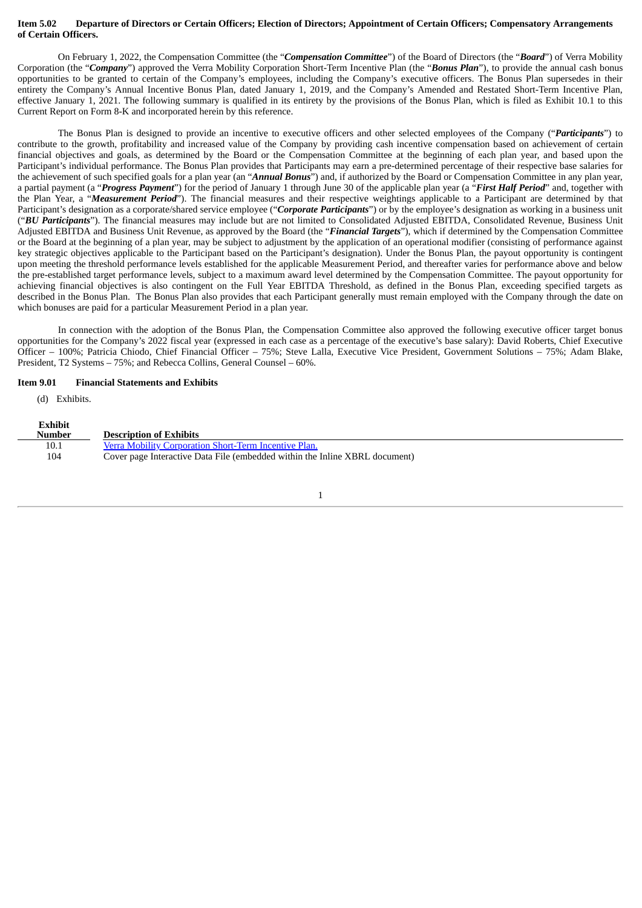#### Item 5.02 Departure of Directors or Certain Officers; Election of Directors; Appointment of Certain Officers; Compensatory Arrangements **of Certain Officers.**

On February 1, 2022, the Compensation Committee (the "*Compensation Committee*") of the Board of Directors (the "*Board*") of Verra Mobility Corporation (the "*Company*") approved the Verra Mobility Corporation Short-Term Incentive Plan (the "*Bonus Plan*"), to provide the annual cash bonus opportunities to be granted to certain of the Company's employees, including the Company's executive officers. The Bonus Plan supersedes in their entirety the Company's Annual Incentive Bonus Plan, dated January 1, 2019, and the Company's Amended and Restated Short-Term Incentive Plan, effective January 1, 2021. The following summary is qualified in its entirety by the provisions of the Bonus Plan, which is filed as Exhibit 10.1 to this Current Report on Form 8-K and incorporated herein by this reference.

The Bonus Plan is designed to provide an incentive to executive officers and other selected employees of the Company ("*Participants*") to contribute to the growth, profitability and increased value of the Company by providing cash incentive compensation based on achievement of certain financial objectives and goals, as determined by the Board or the Compensation Committee at the beginning of each plan year, and based upon the Participant's individual performance. The Bonus Plan provides that Participants may earn a pre-determined percentage of their respective base salaries for the achievement of such specified goals for a plan year (an "*Annual Bonus*") and, if authorized by the Board or Compensation Committee in any plan year, a partial payment (a "*Progress Payment*") for the period of January 1 through June 30 of the applicable plan year (a "*First Half Period*" and, together with the Plan Year, a "*Measurement Period*"). The financial measures and their respective weightings applicable to a Participant are determined by that Participant's designation as a corporate/shared service employee ("*Corporate Participants*") or by the employee's designation as working in a business unit ("*BU Participants*"). The financial measures may include but are not limited to Consolidated Adjusted EBITDA, Consolidated Revenue, Business Unit Adjusted EBITDA and Business Unit Revenue, as approved by the Board (the "*Financial Targets*"), which if determined by the Compensation Committee or the Board at the beginning of a plan year, may be subject to adjustment by the application of an operational modifier (consisting of performance against key strategic objectives applicable to the Participant based on the Participant's designation). Under the Bonus Plan, the payout opportunity is contingent upon meeting the threshold performance levels established for the applicable Measurement Period, and thereafter varies for performance above and below the pre-established target performance levels, subject to a maximum award level determined by the Compensation Committee. The payout opportunity for achieving financial objectives is also contingent on the Full Year EBITDA Threshold, as defined in the Bonus Plan, exceeding specified targets as described in the Bonus Plan. The Bonus Plan also provides that each Participant generally must remain employed with the Company through the date on which bonuses are paid for a particular Measurement Period in a plan year.

In connection with the adoption of the Bonus Plan, the Compensation Committee also approved the following executive officer target bonus opportunities for the Company's 2022 fiscal year (expressed in each case as a percentage of the executive's base salary): David Roberts, Chief Executive Officer – 100%; Patricia Chiodo, Chief Financial Officer – 75%; Steve Lalla, Executive Vice President, Government Solutions – 75%; Adam Blake, President, T2 Systems – 75%; and Rebecca Collins, General Counsel – 60%.

#### **Item 9.01 Financial Statements and Exhibits**

(d) Exhibits.

| <b>Exhibit</b><br>Number | <b>Description of Exhibits</b>                                              |
|--------------------------|-----------------------------------------------------------------------------|
| 10.1                     | Verra Mobility Corporation Short-Term Incentive Plan.                       |
| 104                      | Cover page Interactive Data File (embedded within the Inline XBRL document) |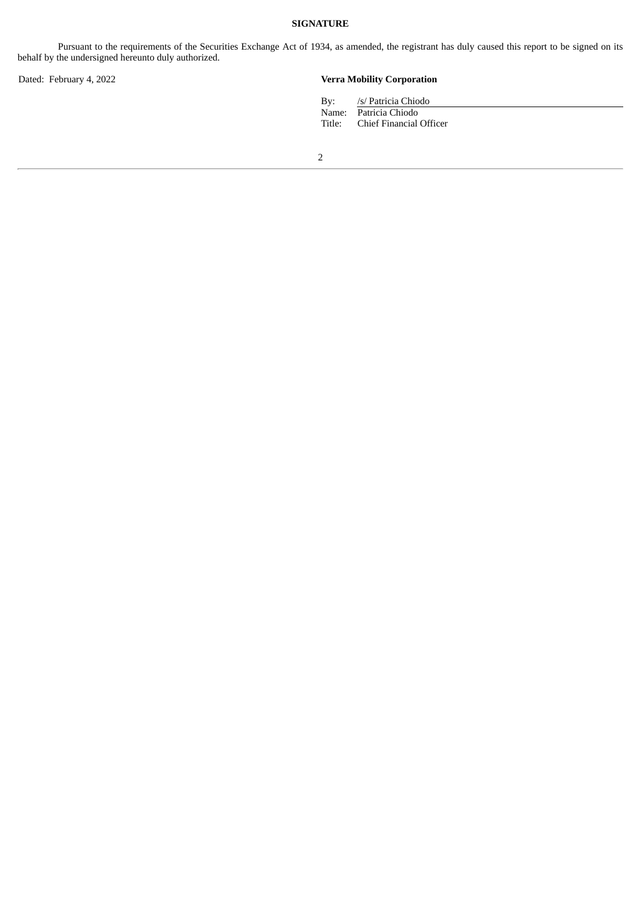### **SIGNATURE**

Pursuant to the requirements of the Securities Exchange Act of 1934, as amended, the registrant has duly caused this report to be signed on its behalf by the undersigned hereunto duly authorized.

### Dated: February 4, 2022 **Verra Mobility Corporation**

| By: | /s/ Patricia Chiodo            |
|-----|--------------------------------|
|     | Name: Patricia Chiodo          |
|     | Title: Chief Financial Officer |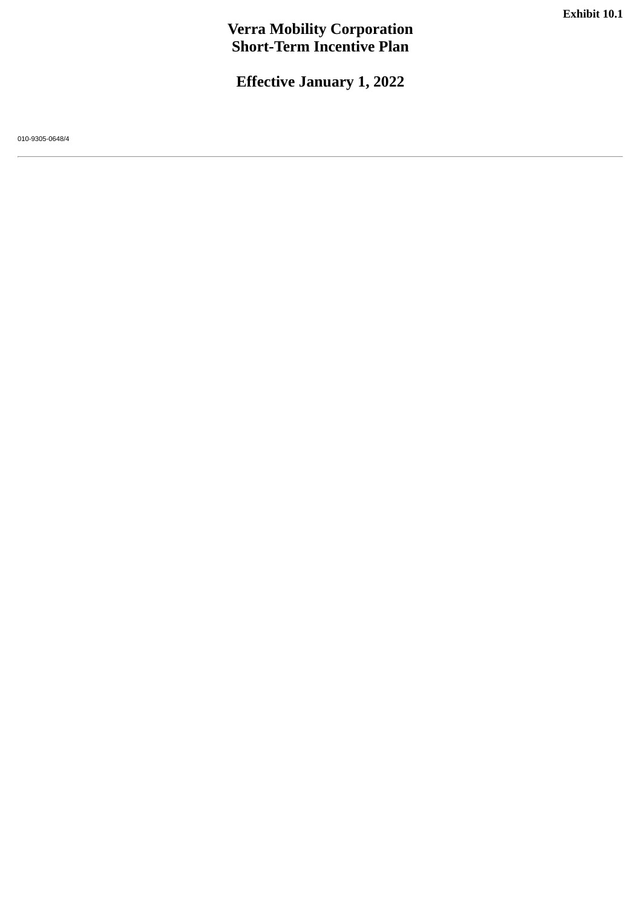# **Verra Mobility Corporation Short-Term Incentive Plan**

**Effective January 1, 2022**

<span id="page-3-0"></span>010-9305-0648/4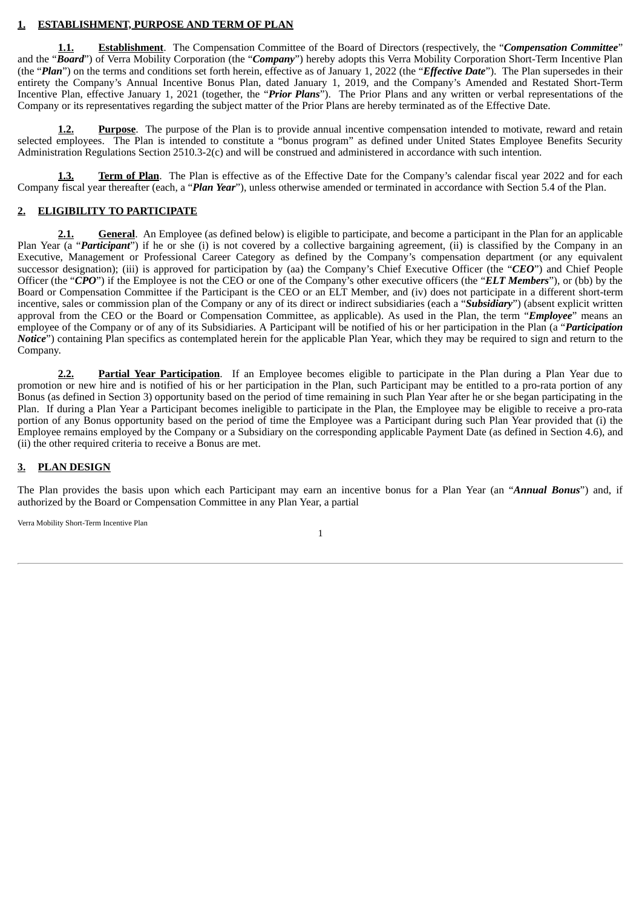### **1. ESTABLISHMENT, PURPOSE AND TERM OF PLAN**

**1.1. Establishment**. The Compensation Committee of the Board of Directors (respectively, the "*Compensation Committee*" and the "*Board*") of Verra Mobility Corporation (the "*Company*") hereby adopts this Verra Mobility Corporation Short-Term Incentive Plan (the "*Plan*") on the terms and conditions set forth herein, effective as of January 1, 2022 (the "*Effective Date*"). The Plan supersedes in their entirety the Company's Annual Incentive Bonus Plan, dated January 1, 2019, and the Company's Amended and Restated Short-Term Incentive Plan, effective January 1, 2021 (together, the "*Prior Plans*"). The Prior Plans and any written or verbal representations of the Company or its representatives regarding the subject matter of the Prior Plans are hereby terminated as of the Effective Date.

**1.2. Purpose**. The purpose of the Plan is to provide annual incentive compensation intended to motivate, reward and retain selected employees. The Plan is intended to constitute a "bonus program" as defined under United States Employee Benefits Security Administration Regulations Section 2510.3-2(c) and will be construed and administered in accordance with such intention.

**1.3. Term of Plan**. The Plan is effective as of the Effective Date for the Company's calendar fiscal year 2022 and for each Company fiscal year thereafter (each, a "*Plan Year*"), unless otherwise amended or terminated in accordance with Section 5.4 of the Plan.

### **2. ELIGIBILITY TO PARTICIPATE**

**2.1. General**. An Employee (as defined below) is eligible to participate, and become a participant in the Plan for an applicable Plan Year (a "Participant") if he or she (i) is not covered by a collective bargaining agreement, (ii) is classified by the Company in an Executive, Management or Professional Career Category as defined by the Company's compensation department (or any equivalent successor designation); (iii) is approved for participation by (aa) the Company's Chief Executive Officer (the "*CEO*") and Chief People Officer (the "*CPO*") if the Employee is not the CEO or one of the Company's other executive officers (the "*ELT Members*"), or (bb) by the Board or Compensation Committee if the Participant is the CEO or an ELT Member, and (iv) does not participate in a different short-term incentive, sales or commission plan of the Company or any of its direct or indirect subsidiaries (each a "*Subsidiary*") (absent explicit written approval from the CEO or the Board or Compensation Committee, as applicable). As used in the Plan, the term "*Employee*" means an employee of the Company or of any of its Subsidiaries. A Participant will be notified of his or her participation in the Plan (a "*Participation Notice*") containing Plan specifics as contemplated herein for the applicable Plan Year, which they may be required to sign and return to the Company.

**2.2. Partial Year Participation**. If an Employee becomes eligible to participate in the Plan during a Plan Year due to promotion or new hire and is notified of his or her participation in the Plan, such Participant may be entitled to a pro-rata portion of any Bonus (as defined in Section 3) opportunity based on the period of time remaining in such Plan Year after he or she began participating in the Plan. If during a Plan Year a Participant becomes ineligible to participate in the Plan, the Employee may be eligible to receive a pro-rata portion of any Bonus opportunity based on the period of time the Employee was a Participant during such Plan Year provided that (i) the Employee remains employed by the Company or a Subsidiary on the corresponding applicable Payment Date (as defined in Section 4.6), and (ii) the other required criteria to receive a Bonus are met.

### **3. PLAN DESIGN**

The Plan provides the basis upon which each Participant may earn an incentive bonus for a Plan Year (an "*Annual Bonus*") and, if authorized by the Board or Compensation Committee in any Plan Year, a partial

Verra Mobility Short-Term Incentive Plan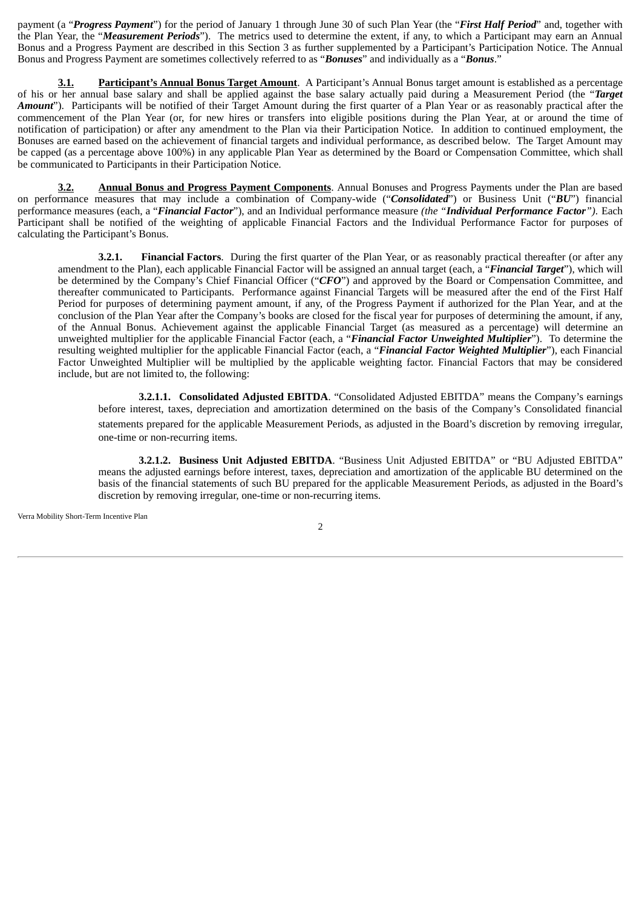payment (a "*Progress Payment*") for the period of January 1 through June 30 of such Plan Year (the "*First Half Period*" and, together with the Plan Year, the "*Measurement Periods*"). The metrics used to determine the extent, if any, to which a Participant may earn an Annual Bonus and a Progress Payment are described in this Section 3 as further supplemented by a Participant's Participation Notice. The Annual Bonus and Progress Payment are sometimes collectively referred to as "*Bonuses*" and individually as a "*Bonus*."

**3.1. Participant's Annual Bonus Target Amount**. A Participant's Annual Bonus target amount is established as a percentage of his or her annual base salary and shall be applied against the base salary actually paid during a Measurement Period (the "*Target Amount*"). Participants will be notified of their Target Amount during the first quarter of a Plan Year or as reasonably practical after the commencement of the Plan Year (or, for new hires or transfers into eligible positions during the Plan Year, at or around the time of notification of participation) or after any amendment to the Plan via their Participation Notice. In addition to continued employment, the Bonuses are earned based on the achievement of financial targets and individual performance, as described below. The Target Amount may be capped (as a percentage above 100%) in any applicable Plan Year as determined by the Board or Compensation Committee, which shall be communicated to Participants in their Participation Notice.

**3.2. Annual Bonus and Progress Payment Components**. Annual Bonuses and Progress Payments under the Plan are based on performance measures that may include a combination of Company-wide ("*Consolidated*") or Business Unit ("*BU*") financial performance measures (each, a "*Financial Factor*"), and an Individual performance measure *(the "Individual Performance Factor")*. Each Participant shall be notified of the weighting of applicable Financial Factors and the Individual Performance Factor for purposes of calculating the Participant's Bonus.

**3.2.1. Financial Factors**. During the first quarter of the Plan Year, or as reasonably practical thereafter (or after any amendment to the Plan), each applicable Financial Factor will be assigned an annual target (each, a "*Financial Target*"), which will be determined by the Company's Chief Financial Officer ("*CFO*") and approved by the Board or Compensation Committee, and thereafter communicated to Participants. Performance against Financial Targets will be measured after the end of the First Half Period for purposes of determining payment amount, if any, of the Progress Payment if authorized for the Plan Year, and at the conclusion of the Plan Year after the Company's books are closed for the fiscal year for purposes of determining the amount, if any, of the Annual Bonus. Achievement against the applicable Financial Target (as measured as a percentage) will determine an unweighted multiplier for the applicable Financial Factor (each, a "*Financial Factor Unweighted Multiplier*"). To determine the resulting weighted multiplier for the applicable Financial Factor (each, a "*Financial Factor Weighted Multiplier*"), each Financial Factor Unweighted Multiplier will be multiplied by the applicable weighting factor. Financial Factors that may be considered include, but are not limited to, the following:

**3.2.1.1. Consolidated Adjusted EBITDA**. "Consolidated Adjusted EBITDA" means the Company's earnings before interest, taxes, depreciation and amortization determined on the basis of the Company's Consolidated financial statements prepared for the applicable Measurement Periods, as adjusted in the Board's discretion by removing irregular, one-time or non-recurring items.

**3.2.1.2. Business Unit Adjusted EBITDA**. "Business Unit Adjusted EBITDA" or "BU Adjusted EBITDA" means the adjusted earnings before interest, taxes, depreciation and amortization of the applicable BU determined on the basis of the financial statements of such BU prepared for the applicable Measurement Periods, as adjusted in the Board's discretion by removing irregular, one-time or non-recurring items.

Verra Mobility Short-Term Incentive Plan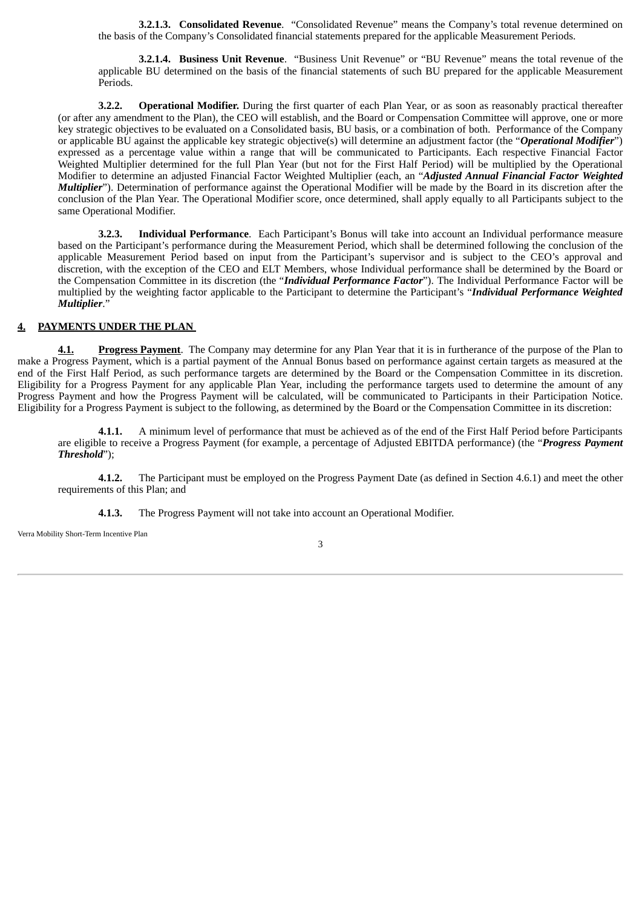**3.2.1.3. Consolidated Revenue**. "Consolidated Revenue" means the Company's total revenue determined on the basis of the Company's Consolidated financial statements prepared for the applicable Measurement Periods.

**3.2.1.4. Business Unit Revenue**. "Business Unit Revenue" or "BU Revenue" means the total revenue of the applicable BU determined on the basis of the financial statements of such BU prepared for the applicable Measurement Periods.

**3.2.2. Operational Modifier.** During the first quarter of each Plan Year, or as soon as reasonably practical thereafter (or after any amendment to the Plan), the CEO will establish, and the Board or Compensation Committee will approve, one or more key strategic objectives to be evaluated on a Consolidated basis, BU basis, or a combination of both. Performance of the Company or applicable BU against the applicable key strategic objective(s) will determine an adjustment factor (the "*Operational Modifier*") expressed as a percentage value within a range that will be communicated to Participants. Each respective Financial Factor Weighted Multiplier determined for the full Plan Year (but not for the First Half Period) will be multiplied by the Operational Modifier to determine an adjusted Financial Factor Weighted Multiplier (each, an "*Adjusted Annual Financial Factor Weighted Multiplier*"). Determination of performance against the Operational Modifier will be made by the Board in its discretion after the conclusion of the Plan Year. The Operational Modifier score, once determined, shall apply equally to all Participants subject to the same Operational Modifier.

**3.2.3. Individual Performance**. Each Participant's Bonus will take into account an Individual performance measure based on the Participant's performance during the Measurement Period, which shall be determined following the conclusion of the applicable Measurement Period based on input from the Participant's supervisor and is subject to the CEO's approval and discretion, with the exception of the CEO and ELT Members, whose Individual performance shall be determined by the Board or the Compensation Committee in its discretion (the "*Individual Performance Factor*"). The Individual Performance Factor will be multiplied by the weighting factor applicable to the Participant to determine the Participant's "*Individual Performance Weighted Multiplier*."

### **4. PAYMENTS UNDER THE PLAN**

**4.1. Progress Payment**. The Company may determine for any Plan Year that it is in furtherance of the purpose of the Plan to make a Progress Payment, which is a partial payment of the Annual Bonus based on performance against certain targets as measured at the end of the First Half Period, as such performance targets are determined by the Board or the Compensation Committee in its discretion. Eligibility for a Progress Payment for any applicable Plan Year, including the performance targets used to determine the amount of any Progress Payment and how the Progress Payment will be calculated, will be communicated to Participants in their Participation Notice. Eligibility for a Progress Payment is subject to the following, as determined by the Board or the Compensation Committee in its discretion:

**4.1.1.** A minimum level of performance that must be achieved as of the end of the First Half Period before Participants are eligible to receive a Progress Payment (for example, a percentage of Adjusted EBITDA performance) (the "*Progress Payment Threshold*");

**4.1.2.** The Participant must be employed on the Progress Payment Date (as defined in Section 4.6.1) and meet the other requirements of this Plan; and

**4.1.3.** The Progress Payment will not take into account an Operational Modifier.

Verra Mobility Short-Term Incentive Plan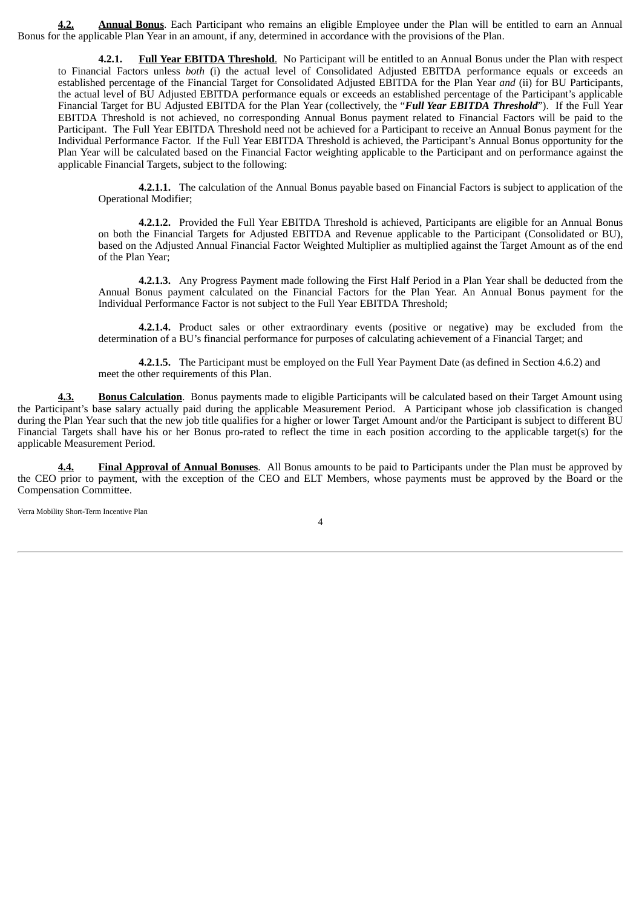**4.2. Annual Bonus**. Each Participant who remains an eligible Employee under the Plan will be entitled to earn an Annual Bonus for the applicable Plan Year in an amount, if any, determined in accordance with the provisions of the Plan.

**4.2.1. Full Year EBITDA Threshold**. No Participant will be entitled to an Annual Bonus under the Plan with respect to Financial Factors unless *both* (i) the actual level of Consolidated Adjusted EBITDA performance equals or exceeds an established percentage of the Financial Target for Consolidated Adjusted EBITDA for the Plan Year *and* (ii) for BU Participants, the actual level of BU Adjusted EBITDA performance equals or exceeds an established percentage of the Participant's applicable Financial Target for BU Adjusted EBITDA for the Plan Year (collectively, the "*Full Year EBITDA Threshold*"). If the Full Year EBITDA Threshold is not achieved, no corresponding Annual Bonus payment related to Financial Factors will be paid to the Participant. The Full Year EBITDA Threshold need not be achieved for a Participant to receive an Annual Bonus payment for the Individual Performance Factor. If the Full Year EBITDA Threshold is achieved, the Participant's Annual Bonus opportunity for the Plan Year will be calculated based on the Financial Factor weighting applicable to the Participant and on performance against the applicable Financial Targets, subject to the following:

**4.2.1.1.** The calculation of the Annual Bonus payable based on Financial Factors is subject to application of the Operational Modifier;

**4.2.1.2.** Provided the Full Year EBITDA Threshold is achieved, Participants are eligible for an Annual Bonus on both the Financial Targets for Adjusted EBITDA and Revenue applicable to the Participant (Consolidated or BU), based on the Adjusted Annual Financial Factor Weighted Multiplier as multiplied against the Target Amount as of the end of the Plan Year;

**4.2.1.3.** Any Progress Payment made following the First Half Period in a Plan Year shall be deducted from the Annual Bonus payment calculated on the Financial Factors for the Plan Year. An Annual Bonus payment for the Individual Performance Factor is not subject to the Full Year EBITDA Threshold;

**4.2.1.4.** Product sales or other extraordinary events (positive or negative) may be excluded from the determination of a BU's financial performance for purposes of calculating achievement of a Financial Target; and

**4.2.1.5.** The Participant must be employed on the Full Year Payment Date (as defined in Section 4.6.2) and meet the other requirements of this Plan.

**4.3. Bonus Calculation**. Bonus payments made to eligible Participants will be calculated based on their Target Amount using the Participant's base salary actually paid during the applicable Measurement Period. A Participant whose job classification is changed during the Plan Year such that the new job title qualifies for a higher or lower Target Amount and/or the Participant is subject to different BU Financial Targets shall have his or her Bonus pro-rated to reflect the time in each position according to the applicable target(s) for the applicable Measurement Period.

**4.4. Final Approval of Annual Bonuses**. All Bonus amounts to be paid to Participants under the Plan must be approved by the CEO prior to payment, with the exception of the CEO and ELT Members, whose payments must be approved by the Board or the Compensation Committee.

Verra Mobility Short-Term Incentive Plan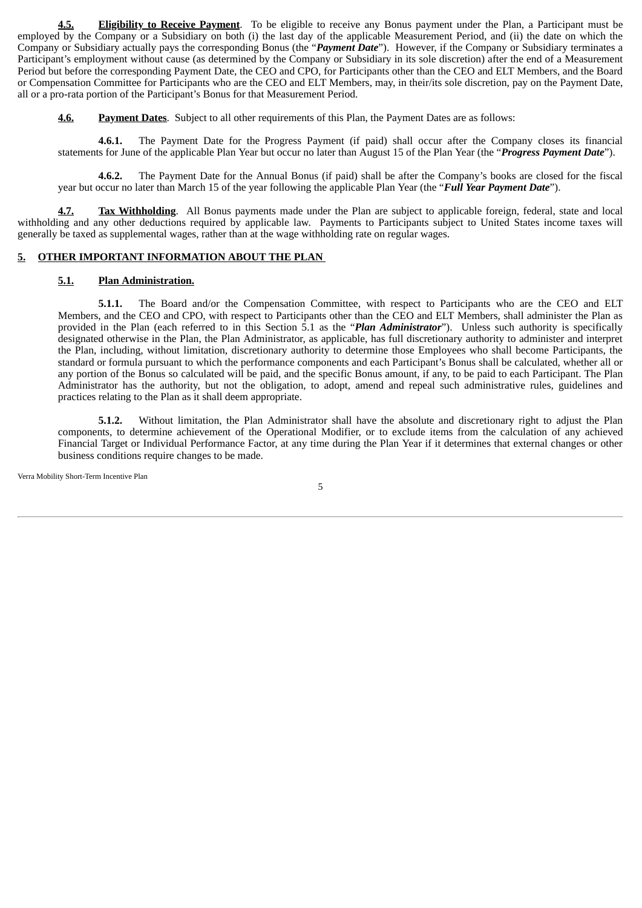**4.5. Eligibility to Receive Payment**. To be eligible to receive any Bonus payment under the Plan, a Participant must be employed by the Company or a Subsidiary on both (i) the last day of the applicable Measurement Period, and (ii) the date on which the Company or Subsidiary actually pays the corresponding Bonus (the "*Payment Date*"). However, if the Company or Subsidiary terminates a Participant's employment without cause (as determined by the Company or Subsidiary in its sole discretion) after the end of a Measurement Period but before the corresponding Payment Date, the CEO and CPO, for Participants other than the CEO and ELT Members, and the Board or Compensation Committee for Participants who are the CEO and ELT Members, may, in their/its sole discretion, pay on the Payment Date, all or a pro-rata portion of the Participant's Bonus for that Measurement Period.

**4.6. Payment Dates**. Subject to all other requirements of this Plan, the Payment Dates are as follows:

**4.6.1.** The Payment Date for the Progress Payment (if paid) shall occur after the Company closes its financial statements for June of the applicable Plan Year but occur no later than August 15 of the Plan Year (the "*Progress Payment Date*").

**4.6.2.** The Payment Date for the Annual Bonus (if paid) shall be after the Company's books are closed for the fiscal year but occur no later than March 15 of the year following the applicable Plan Year (the "*Full Year Payment Date*").

Tax Withholding. All Bonus payments made under the Plan are subject to applicable foreign, federal, state and local withholding and any other deductions required by applicable law. Payments to Participants subject to United States income taxes will generally be taxed as supplemental wages, rather than at the wage withholding rate on regular wages.

### **5. OTHER IMPORTANT INFORMATION ABOUT THE PLAN**

### **5.1. Plan Administration.**

**5.1.1.** The Board and/or the Compensation Committee, with respect to Participants who are the CEO and ELT Members, and the CEO and CPO, with respect to Participants other than the CEO and ELT Members, shall administer the Plan as provided in the Plan (each referred to in this Section 5.1 as the "*Plan Administrator*"). Unless such authority is specifically designated otherwise in the Plan, the Plan Administrator, as applicable, has full discretionary authority to administer and interpret the Plan, including, without limitation, discretionary authority to determine those Employees who shall become Participants, the standard or formula pursuant to which the performance components and each Participant's Bonus shall be calculated, whether all or any portion of the Bonus so calculated will be paid, and the specific Bonus amount, if any, to be paid to each Participant. The Plan Administrator has the authority, but not the obligation, to adopt, amend and repeal such administrative rules, guidelines and practices relating to the Plan as it shall deem appropriate.

**5.1.2.** Without limitation, the Plan Administrator shall have the absolute and discretionary right to adjust the Plan components, to determine achievement of the Operational Modifier, or to exclude items from the calculation of any achieved Financial Target or Individual Performance Factor, at any time during the Plan Year if it determines that external changes or other business conditions require changes to be made.

Verra Mobility Short-Term Incentive Plan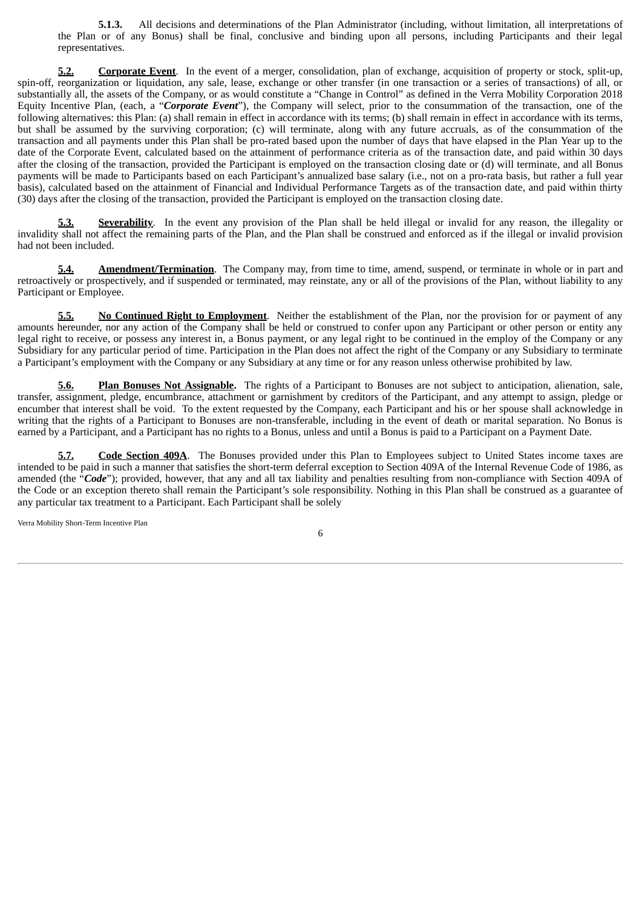**5.1.3.** All decisions and determinations of the Plan Administrator (including, without limitation, all interpretations of the Plan or of any Bonus) shall be final, conclusive and binding upon all persons, including Participants and their legal representatives.

**5.2. Corporate Event**. In the event of a merger, consolidation, plan of exchange, acquisition of property or stock, split-up, spin-off, reorganization or liquidation, any sale, lease, exchange or other transfer (in one transaction or a series of transactions) of all, or substantially all, the assets of the Company, or as would constitute a "Change in Control" as defined in the Verra Mobility Corporation 2018 Equity Incentive Plan, (each, a "*Corporate Event*"), the Company will select, prior to the consummation of the transaction, one of the following alternatives: this Plan: (a) shall remain in effect in accordance with its terms; (b) shall remain in effect in accordance with its terms, but shall be assumed by the surviving corporation; (c) will terminate, along with any future accruals, as of the consummation of the transaction and all payments under this Plan shall be pro-rated based upon the number of days that have elapsed in the Plan Year up to the date of the Corporate Event, calculated based on the attainment of performance criteria as of the transaction date, and paid within 30 days after the closing of the transaction, provided the Participant is employed on the transaction closing date or (d) will terminate, and all Bonus payments will be made to Participants based on each Participant's annualized base salary (i.e., not on a pro-rata basis, but rather a full year basis), calculated based on the attainment of Financial and Individual Performance Targets as of the transaction date, and paid within thirty (30) days after the closing of the transaction, provided the Participant is employed on the transaction closing date.

**5.3. Severability**. In the event any provision of the Plan shall be held illegal or invalid for any reason, the illegality or invalidity shall not affect the remaining parts of the Plan, and the Plan shall be construed and enforced as if the illegal or invalid provision had not been included.

**5.4. Amendment/Termination**. The Company may, from time to time, amend, suspend, or terminate in whole or in part and retroactively or prospectively, and if suspended or terminated, may reinstate, any or all of the provisions of the Plan, without liability to any Participant or Employee.

**5.5. No Continued Right to Employment**. Neither the establishment of the Plan, nor the provision for or payment of any amounts hereunder, nor any action of the Company shall be held or construed to confer upon any Participant or other person or entity any legal right to receive, or possess any interest in, a Bonus payment, or any legal right to be continued in the employ of the Company or any Subsidiary for any particular period of time. Participation in the Plan does not affect the right of the Company or any Subsidiary to terminate a Participant's employment with the Company or any Subsidiary at any time or for any reason unless otherwise prohibited by law.

**5.6. Plan Bonuses Not Assignable.** The rights of a Participant to Bonuses are not subject to anticipation, alienation, sale, transfer, assignment, pledge, encumbrance, attachment or garnishment by creditors of the Participant, and any attempt to assign, pledge or encumber that interest shall be void. To the extent requested by the Company, each Participant and his or her spouse shall acknowledge in writing that the rights of a Participant to Bonuses are non-transferable, including in the event of death or marital separation. No Bonus is earned by a Participant, and a Participant has no rights to a Bonus, unless and until a Bonus is paid to a Participant on a Payment Date.

**5.7. Code Section 409A**. The Bonuses provided under this Plan to Employees subject to United States income taxes are intended to be paid in such a manner that satisfies the short-term deferral exception to Section 409A of the Internal Revenue Code of 1986, as amended (the "*Code*"); provided, however, that any and all tax liability and penalties resulting from non-compliance with Section 409A of the Code or an exception thereto shall remain the Participant's sole responsibility. Nothing in this Plan shall be construed as a guarantee of any particular tax treatment to a Participant. Each Participant shall be solely

Verra Mobility Short-Term Incentive Plan